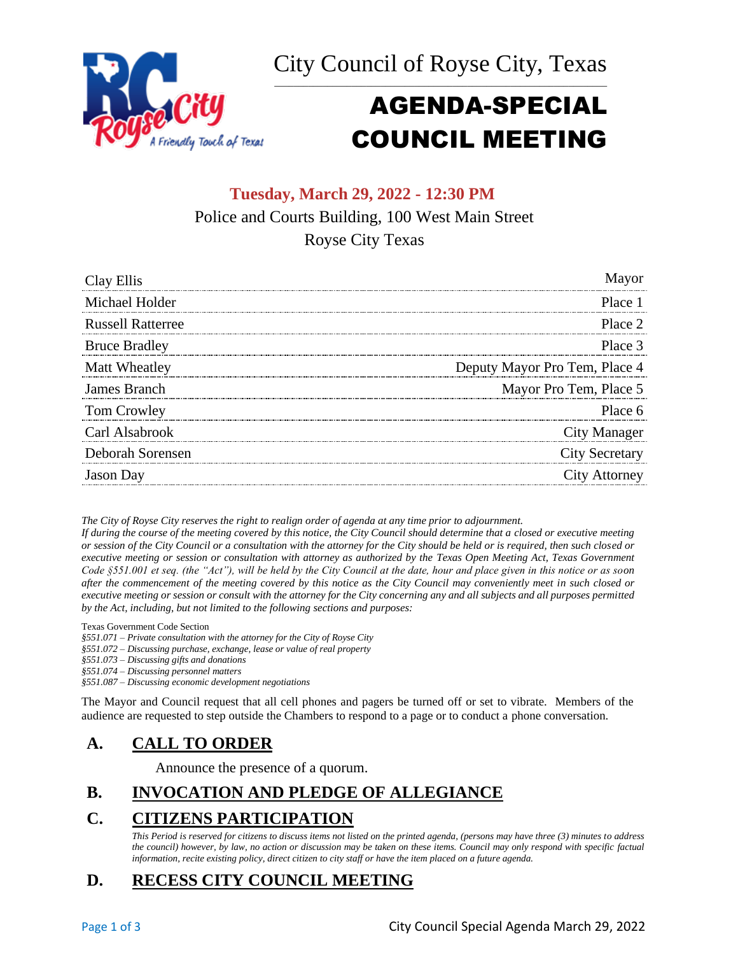City Council of Royse City, Texas \_\_\_\_\_\_\_\_\_\_\_\_\_\_\_\_\_\_\_\_\_\_\_\_\_\_\_\_\_\_\_\_\_\_\_\_\_\_\_\_\_\_\_\_\_\_\_\_\_\_\_\_\_\_\_\_\_\_\_\_\_\_\_\_\_\_\_\_\_



# AGENDA-SPECIAL COUNCIL MEETING

## **Tuesday, March 29, 2022 - 12:30 PM** Police and Courts Building, 100 West Main Street Royse City Texas

| Clay Ellis               | Mayor                         |
|--------------------------|-------------------------------|
| Michael Holder           | Place 1                       |
| <b>Russell Ratterree</b> | Place 2                       |
| <b>Bruce Bradley</b>     | Place 3                       |
| Matt Wheatley            | Deputy Mayor Pro Tem, Place 4 |
| James Branch             | Mayor Pro Tem, Place 5        |
| Tom Crowley              | Place 6                       |
| Carl Alsabrook           | <b>City Manager</b>           |
| Deborah Sorensen         | <b>City Secretary</b>         |
| Jason Day                | <b>City Attorney</b>          |

*The City of Royse City reserves the right to realign order of agenda at any time prior to adjournment.*

*If during the course of the meeting covered by this notice, the City Council should determine that a closed or executive meeting or session of the City Council or a consultation with the attorney for the City should be held or is required, then such closed or executive meeting or session or consultation with attorney as authorized by the Texas Open Meeting Act, Texas Government Code §551.001 et seq. (the "Act"), will be held by the City Council at the date, hour and place given in this notice or as soon after the commencement of the meeting covered by this notice as the City Council may conveniently meet in such closed or executive meeting or session or consult with the attorney for the City concerning any and all subjects and all purposes permitted by the Act, including, but not limited to the following sections and purposes:*

Texas Government Code Section

*§551.071 – Private consultation with the attorney for the City of Royse City* 

*§551.072 – Discussing purchase, exchange, lease or value of real property* 

*§551.073 – Discussing gifts and donations*

*§551.074 – Discussing personnel matters*

*§551.087 – Discussing economic development negotiations*

The Mayor and Council request that all cell phones and pagers be turned off or set to vibrate. Members of the audience are requested to step outside the Chambers to respond to a page or to conduct a phone conversation.

## **A. CALL TO ORDER**

Announce the presence of a quorum.

#### **B. INVOCATION AND PLEDGE OF ALLEGIANCE**

## **C. CITIZENS PARTICIPATION**

*This Period is reserved for citizens to discuss items not listed on the printed agenda, (persons may have three (3) minutes to address the council) however, by law, no action or discussion may be taken on these items. Council may only respond with specific factual information, recite existing policy, direct citizen to city staff or have the item placed on a future agenda.*

## **D. RECESS CITY COUNCIL MEETING**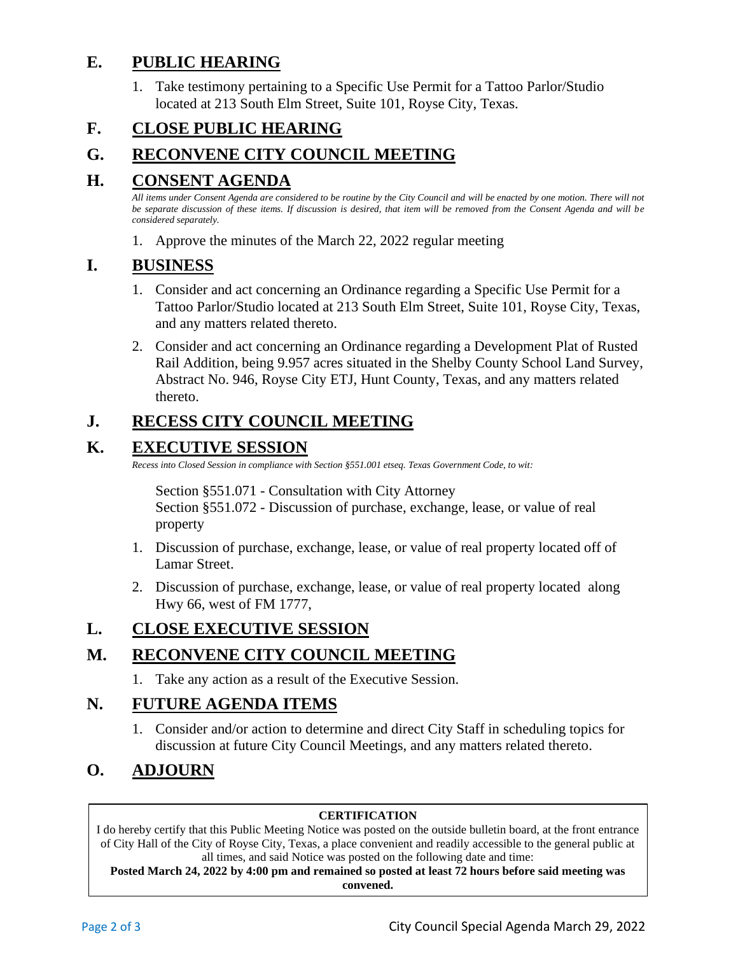## **E. PUBLIC HEARING**

1. Take testimony pertaining to a Specific Use Permit for a Tattoo Parlor/Studio located at 213 South Elm Street, Suite 101, Royse City, Texas.

## **F. CLOSE PUBLIC HEARING**

## **G. RECONVENE CITY COUNCIL MEETING**

### **H. CONSENT AGENDA**

*All items under Consent Agenda are considered to be routine by the City Council and will be enacted by one motion. There will not be separate discussion of these items. If discussion is desired, that item will be removed from the Consent Agenda and will be considered separately.*

1. Approve the minutes of the March 22, 2022 regular meeting

#### **I. BUSINESS**

- 1. Consider and act concerning an Ordinance regarding a Specific Use Permit for a Tattoo Parlor/Studio located at 213 South Elm Street, Suite 101, Royse City, Texas, and any matters related thereto.
- 2. Consider and act concerning an Ordinance regarding a Development Plat of Rusted Rail Addition, being 9.957 acres situated in the Shelby County School Land Survey, Abstract No. 946, Royse City ETJ, Hunt County, Texas, and any matters related thereto.

## **J. RECESS CITY COUNCIL MEETING**

## **K. EXECUTIVE SESSION**

*Recess into Closed Session in compliance with Section §551.001 etseq. Texas Government Code, to wit:*

Section §551.071 - Consultation with City Attorney Section §551.072 - Discussion of purchase, exchange, lease, or value of real property

- 1. Discussion of purchase, exchange, lease, or value of real property located off of Lamar Street.
- 2. Discussion of purchase, exchange, lease, or value of real property located along Hwy 66, west of FM 1777,

## **L. CLOSE EXECUTIVE SESSION**

## **M. RECONVENE CITY COUNCIL MEETING**

1. Take any action as a result of the Executive Session.

#### **N. FUTURE AGENDA ITEMS**

1. Consider and/or action to determine and direct City Staff in scheduling topics for discussion at future City Council Meetings, and any matters related thereto.

## **O. ADJOURN**

#### **CERTIFICATION**

I do hereby certify that this Public Meeting Notice was posted on the outside bulletin board, at the front entrance of City Hall of the City of Royse City, Texas, a place convenient and readily accessible to the general public at all times, and said Notice was posted on the following date and time:

**Posted March 24, 2022 by 4:00 pm and remained so posted at least 72 hours before said meeting was convened.**